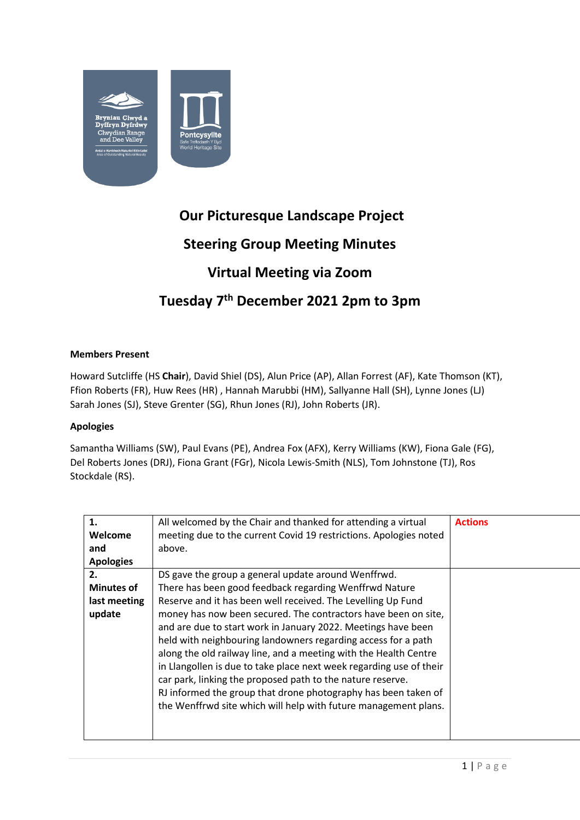

## **Our Picturesque Landscape Project Steering Group Meeting Minutes Virtual Meeting via Zoom Tuesday 7th December 2021 2pm to 3pm**

## **Members Present**

Howard Sutcliffe (HS **Chair**), David Shiel (DS), Alun Price (AP), Allan Forrest (AF), Kate Thomson (KT), Ffion Roberts (FR), Huw Rees (HR) , Hannah Marubbi (HM), Sallyanne Hall (SH), Lynne Jones (LJ) Sarah Jones (SJ), Steve Grenter (SG), Rhun Jones (RJ), John Roberts (JR).

## **Apologies**

Samantha Williams (SW), Paul Evans (PE), Andrea Fox (AFX), Kerry Williams (KW), Fiona Gale (FG), Del Roberts Jones (DRJ), Fiona Grant (FGr), Nicola Lewis-Smith (NLS), Tom Johnstone (TJ), Ros Stockdale (RS).

| 1.                | All welcomed by the Chair and thanked for attending a virtual       | <b>Actions</b> |
|-------------------|---------------------------------------------------------------------|----------------|
| Welcome           | meeting due to the current Covid 19 restrictions. Apologies noted   |                |
| and               | above.                                                              |                |
| <b>Apologies</b>  |                                                                     |                |
| 2.                | DS gave the group a general update around Wenffrwd.                 |                |
| <b>Minutes of</b> | There has been good feedback regarding Wenffrwd Nature              |                |
| last meeting      | Reserve and it has been well received. The Levelling Up Fund        |                |
| update            | money has now been secured. The contractors have been on site,      |                |
|                   | and are due to start work in January 2022. Meetings have been       |                |
|                   | held with neighbouring landowners regarding access for a path       |                |
|                   | along the old railway line, and a meeting with the Health Centre    |                |
|                   | in Llangollen is due to take place next week regarding use of their |                |
|                   | car park, linking the proposed path to the nature reserve.          |                |
|                   | RJ informed the group that drone photography has been taken of      |                |
|                   | the Wenffrwd site which will help with future management plans.     |                |
|                   |                                                                     |                |
|                   |                                                                     |                |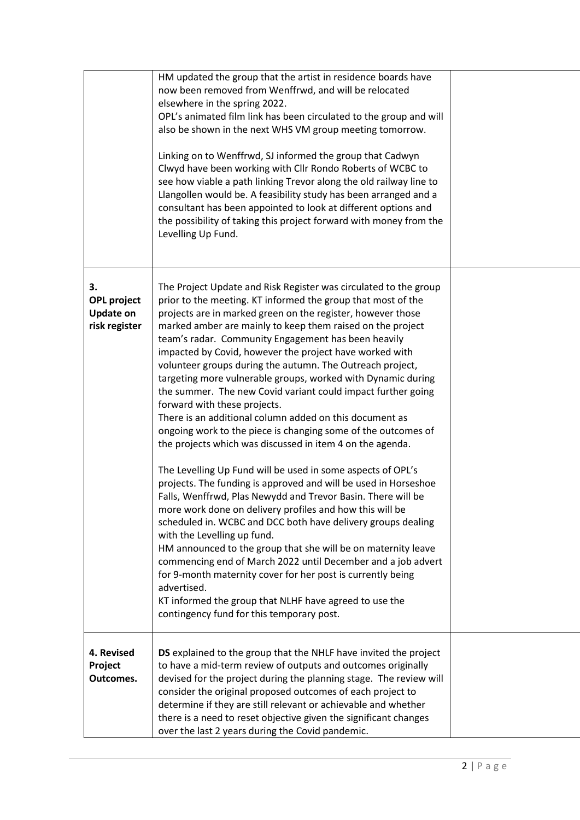|                                                               | HM updated the group that the artist in residence boards have<br>now been removed from Wenffrwd, and will be relocated<br>elsewhere in the spring 2022.<br>OPL's animated film link has been circulated to the group and will<br>also be shown in the next WHS VM group meeting tomorrow.<br>Linking on to Wenffrwd, SJ informed the group that Cadwyn<br>Clwyd have been working with Cllr Rondo Roberts of WCBC to<br>see how viable a path linking Trevor along the old railway line to<br>Llangollen would be. A feasibility study has been arranged and a<br>consultant has been appointed to look at different options and<br>the possibility of taking this project forward with money from the<br>Levelling Up Fund.                                                                                                                                                                                                                                                                                                                                                                                                                                                                                                                                                                                                                                                                                                                                                             |  |
|---------------------------------------------------------------|------------------------------------------------------------------------------------------------------------------------------------------------------------------------------------------------------------------------------------------------------------------------------------------------------------------------------------------------------------------------------------------------------------------------------------------------------------------------------------------------------------------------------------------------------------------------------------------------------------------------------------------------------------------------------------------------------------------------------------------------------------------------------------------------------------------------------------------------------------------------------------------------------------------------------------------------------------------------------------------------------------------------------------------------------------------------------------------------------------------------------------------------------------------------------------------------------------------------------------------------------------------------------------------------------------------------------------------------------------------------------------------------------------------------------------------------------------------------------------------|--|
| 3.<br><b>OPL project</b><br><b>Update on</b><br>risk register | The Project Update and Risk Register was circulated to the group<br>prior to the meeting. KT informed the group that most of the<br>projects are in marked green on the register, however those<br>marked amber are mainly to keep them raised on the project<br>team's radar. Community Engagement has been heavily<br>impacted by Covid, however the project have worked with<br>volunteer groups during the autumn. The Outreach project,<br>targeting more vulnerable groups, worked with Dynamic during<br>the summer. The new Covid variant could impact further going<br>forward with these projects.<br>There is an additional column added on this document as<br>ongoing work to the piece is changing some of the outcomes of<br>the projects which was discussed in item 4 on the agenda.<br>The Levelling Up Fund will be used in some aspects of OPL's<br>projects. The funding is approved and will be used in Horseshoe<br>Falls, Wenffrwd, Plas Newydd and Trevor Basin. There will be<br>more work done on delivery profiles and how this will be<br>scheduled in. WCBC and DCC both have delivery groups dealing<br>with the Levelling up fund.<br>HM announced to the group that she will be on maternity leave<br>commencing end of March 2022 until December and a job advert<br>for 9-month maternity cover for her post is currently being<br>advertised.<br>KT informed the group that NLHF have agreed to use the<br>contingency fund for this temporary post. |  |
| 4. Revised<br>Project<br>Outcomes.                            | DS explained to the group that the NHLF have invited the project<br>to have a mid-term review of outputs and outcomes originally<br>devised for the project during the planning stage. The review will<br>consider the original proposed outcomes of each project to<br>determine if they are still relevant or achievable and whether<br>there is a need to reset objective given the significant changes<br>over the last 2 years during the Covid pandemic.                                                                                                                                                                                                                                                                                                                                                                                                                                                                                                                                                                                                                                                                                                                                                                                                                                                                                                                                                                                                                           |  |